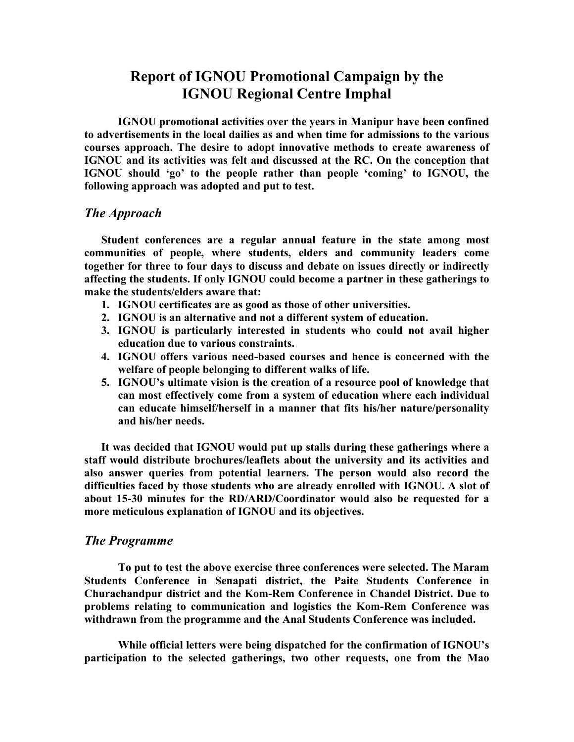## **Report of IGNOU Promotional Campaign by the IGNOU Regional Centre Imphal**

**IGNOU promotional activities over the years in Manipur have been confined to advertisements in the local dailies as and when time for admissions to the various courses approach. The desire to adopt innovative methods to create awareness of IGNOU and its activities was felt and discussed at the RC. On the conception that IGNOU should 'go' to the people rather than people 'coming' to IGNOU, the following approach was adopted and put to test.** 

## *The Approach*

**Student conferences are a regular annual feature in the state among most communities of people, where students, elders and community leaders come together for three to four days to discuss and debate on issues directly or indirectly affecting the students. If only IGNOU could become a partner in these gatherings to make the students/elders aware that:** 

- **1. IGNOU certificates are as good as those of other universities.**
- **2. IGNOU is an alternative and not a different system of education.**
- **3. IGNOU is particularly interested in students who could not avail higher education due to various constraints.**
- **4. IGNOU offers various need-based courses and hence is concerned with the welfare of people belonging to different walks of life.**
- **5. IGNOU's ultimate vision is the creation of a resource pool of knowledge that can most effectively come from a system of education where each individual can educate himself/herself in a manner that fits his/her nature/personality and his/her needs.**

**It was decided that IGNOU would put up stalls during these gatherings where a staff would distribute brochures/leaflets about the university and its activities and also answer queries from potential learners. The person would also record the difficulties faced by those students who are already enrolled with IGNOU. A slot of about 15-30 minutes for the RD/ARD/Coordinator would also be requested for a more meticulous explanation of IGNOU and its objectives.** 

## *The Programme*

**To put to test the above exercise three conferences were selected. The Maram Students Conference in Senapati district, the Paite Students Conference in Churachandpur district and the Kom-Rem Conference in Chandel District. Due to problems relating to communication and logistics the Kom-Rem Conference was withdrawn from the programme and the Anal Students Conference was included.** 

**While official letters were being dispatched for the confirmation of IGNOU's participation to the selected gatherings, two other requests, one from the Mao**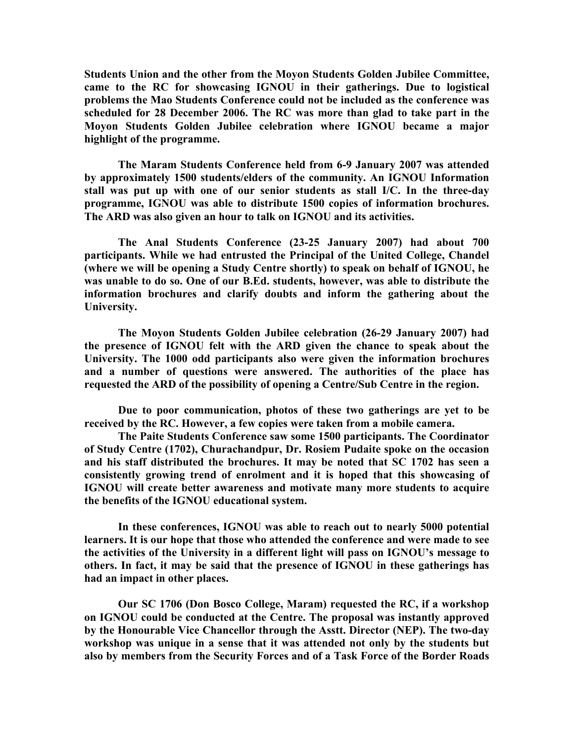**Students Union and the other from the Moyon Students Golden Jubilee Committee, came to the RC for showcasing IGNOU in their gatherings. Due to logistical problems the Mao Students Conference could not be included as the conference was scheduled for 28 December 2006. The RC was more than glad to take part in the Moyon Students Golden Jubilee celebration where IGNOU became a major highlight of the programme.** 

**The Maram Students Conference held from 6-9 January 2007 was attended by approximately 1500 students/elders of the community. An IGNOU Information stall was put up with one of our senior students as stall I/C. In the three-day programme, IGNOU was able to distribute 1500 copies of information brochures. The ARD was also given an hour to talk on IGNOU and its activities.** 

**The Anal Students Conference (23-25 January 2007) had about 700 participants. While we had entrusted the Principal of the United College, Chandel (where we will be opening a Study Centre shortly) to speak on behalf of IGNOU, he was unable to do so. One of our B.Ed. students, however, was able to distribute the information brochures and clarify doubts and inform the gathering about the University.** 

**The Moyon Students Golden Jubilee celebration (26-29 January 2007) had the presence of IGNOU felt with the ARD given the chance to speak about the University. The 1000 odd participants also were given the information brochures and a number of questions were answered. The authorities of the place has requested the ARD of the possibility of opening a Centre/Sub Centre in the region.** 

 **Due to poor communication, photos of these two gatherings are yet to be received by the RC. However, a few copies were taken from a mobile camera.** 

**The Paite Students Conference saw some 1500 participants. The Coordinator of Study Centre (1702), Churachandpur, Dr. Rosiem Pudaite spoke on the occasion and his staff distributed the brochures. It may be noted that SC 1702 has seen a consistently growing trend of enrolment and it is hoped that this showcasing of IGNOU will create better awareness and motivate many more students to acquire the benefits of the IGNOU educational system.** 

**In these conferences, IGNOU was able to reach out to nearly 5000 potential learners. It is our hope that those who attended the conference and were made to see the activities of the University in a different light will pass on IGNOU's message to others. In fact, it may be said that the presence of IGNOU in these gatherings has had an impact in other places.** 

**Our SC 1706 (Don Bosco College, Maram) requested the RC, if a workshop on IGNOU could be conducted at the Centre. The proposal was instantly approved by the Honourable Vice Chancellor through the Asstt. Director (NEP). The two-day workshop was unique in a sense that it was attended not only by the students but also by members from the Security Forces and of a Task Force of the Border Roads**